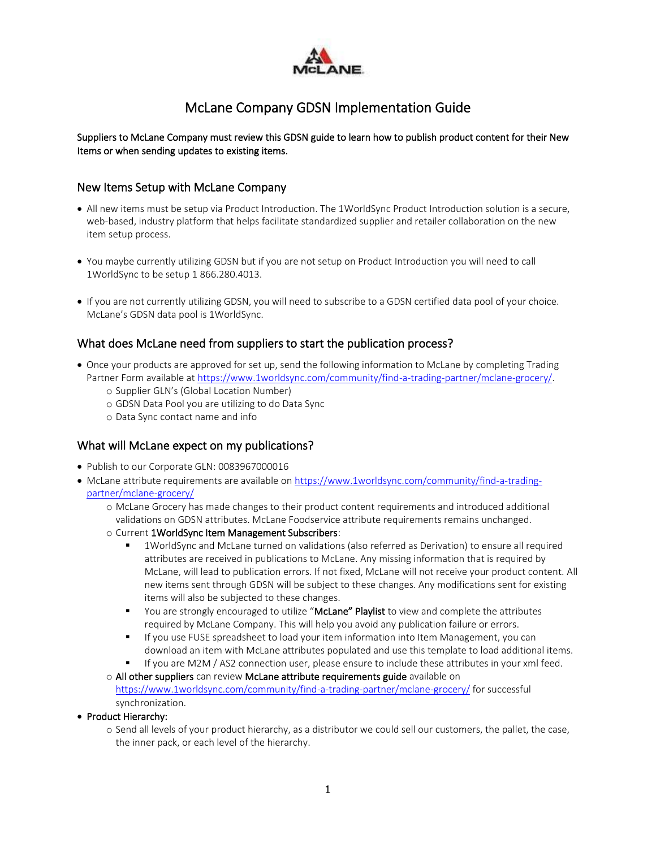

# McLane Company GDSN Implementation Guide

#### Suppliers to McLane Company must review this GDSN guide to learn how to publish product content for their New Items or when sending updates to existing items.

#### New Items Setup with McLane Company

- All new items must be setup via Product Introduction. The 1WorldSync Product Introduction solution is a secure, web-based, industry platform that helps facilitate standardized supplier and retailer collaboration on the new item setup process.
- You maybe currently utilizing GDSN but if you are not setup on Product Introduction you will need to call 1WorldSync to be setup 1 866.280.4013.
- If you are not currently utilizing GDSN, you will need to subscribe to a GDSN certified data pool of your choice. McLane's GDSN data pool is 1WorldSync.

### What does McLane need from suppliers to start the publication process?

- Once your products are approved for set up, send the following information to McLane by completing Trading Partner Form available a[t https://www.1worldsync.com/community/find-a-trading-partner/mclane-grocery/.](https://www.1worldsync.com/community/find-a-trading-partner/mclane-grocery/) 
	- o Supplier GLN's (Global Location Number)
	- o GDSN Data Pool you are utilizing to do Data Sync
	- o Data Sync contact name and info

#### What will McLane expect on my publications?

- Publish to our Corporate GLN: 0083967000016
- McLane attribute requirements are available on [https://www.1worldsync.com/community/find-a-trading](https://www.1worldsync.com/community/find-a-trading-partner/mclane-grocery/)[partner/mclane-grocery/](https://www.1worldsync.com/community/find-a-trading-partner/mclane-grocery/)
	- o McLane Grocery has made changes to their product content requirements and introduced additional validations on GDSN attributes. McLane Foodservice attribute requirements remains unchanged.
	- o Current 1WorldSync Item Management Subscribers:
		- 1WorldSync and McLane turned on validations (also referred as Derivation) to ensure all required attributes are received in publications to McLane. Any missing information that is required by McLane, will lead to publication errors. If not fixed, McLane will not receive your product content. All new items sent through GDSN will be subject to these changes. Any modifications sent for existing items will also be subjected to these changes.
		- You are strongly encouraged to utilize "McLane" Playlist to view and complete the attributes required by McLane Company. This will help you avoid any publication failure or errors.
		- **■** If you use FUSE spreadsheet to load your item information into Item Management, you can download an item with McLane attributes populated and use this template to load additional items.
		- If you are M2M / AS2 connection user, please ensure to include these attributes in your xml feed.
	- o All other suppliers can review McLane attribute requirements guide available on <https://www.1worldsync.com/community/find-a-trading-partner/mclane-grocery/> for successful synchronization.
- Product Hierarchy:
	- o Send all levels of your product hierarchy, as a distributor we could sell our customers, the pallet, the case, the inner pack, or each level of the hierarchy.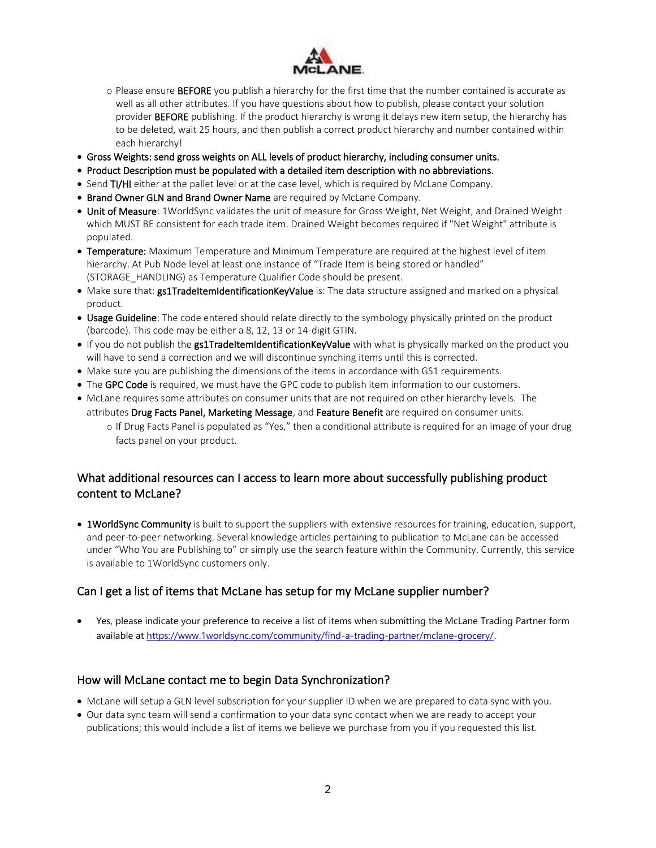

- o Please ensure BEFORE you publish a hierarchy for the first time that the number contained is accurate as well as all other attributes. If you have questions about how to publish, please contact your solution provider BEFORE publishing. If the product hierarchy is wrong it delays new item setup, the hierarchy has to be deleted, wait 25 hours, and then publish a correct product hierarchy and number contained within each hierarchy!
- Gross Weights: send gross weights on ALL levels of product hierarchy, including consumer units.
- Product Description must be populated with a detailed item description with no abbreviations.
- Send TI/HI either at the pallet level or at the case level, which is required by McLane Company.
- Brand Owner GLN and Brand Owner Name are required by McLane Company.
- Unit of Measure: 1WorldSync validates the unit of measure for Gross Weight, Net Weight, and Drained Weight which MUST BE consistent for each trade item. Drained Weight becomes required if "Net Weight" attribute is populated.
- Temperature: Maximum Temperature and Minimum Temperature are required at the highest level of item hierarchy. At Pub Node level at least one instance of "Trade Item is being stored or handled" (STORAGE\_HANDLING) as Temperature Qualifier Code should be present.
- Make sure that: gs1TradeItemIdentificationKeyValue is: The data structure assigned and marked on a physical product.
- Usage Guideline: The code entered should relate directly to the symbology physically printed on the product (barcode). This code may be either a 8, 12, 13 or 14-digit GTIN.
- If you do not publish the gs1TradeItemIdentificationKeyValue with what is physically marked on the product you will have to send a correction and we will discontinue synching items until this is corrected.
- Make sure you are publishing the dimensions of the items in accordance with GS1 requirements.
- The GPC Code is required, we must have the GPC code to publish item information to our customers.
- McLane requires some attributes on consumer units that are not required on other hierarchy levels. The attributes Drug Facts Panel, Marketing Message, and Feature Benefit are required on consumer units. o If Drug Facts Panel is populated as "Yes," then a conditional attribute is required for an image of your drug facts panel on your product.

### What additional resources can I access to learn more about successfully publishing product content to McLane?

• 1WorldSync Community is built to support the suppliers with extensive resources for training, education, support, and peer-to-peer networking. Several knowledge articles pertaining to publication to McLane can be accessed under "Who You are Publishing to" or simply use the search feature within the Community. Currently, this service is available to 1WorldSync customers only.

### Can I get a list of items that McLane has setup for my McLane supplier number?

• Yes, please indicate your preference to receive a list of items when submitting the McLane Trading Partner form available at<https://www.1worldsync.com/community/find-a-trading-partner/mclane-grocery/>.

### How will McLane contact me to begin Data Synchronization?

- McLane will setup a GLN level subscription for your supplier ID when we are prepared to data sync with you.
- Our data sync team will send a confirmation to your data sync contact when we are ready to accept your publications; this would include a list of items we believe we purchase from you if you requested this list.